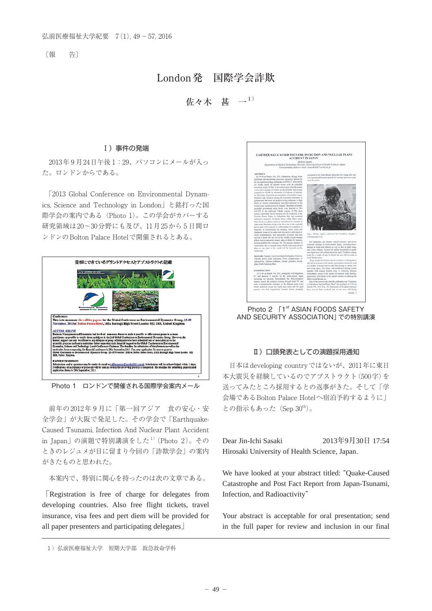〔報 告〕

# London発 国際学会詐欺

# 佐々木 甚 一 $1)$

## Ⅰ)事件の発端

2013年 9 月24日午後 1:29、パソコンにメールが入っ た。ロンドンからである。

「2013 Global Conference on Environmental Dynamics, Science and Technology in London」と銘打った国 際学会の案内である(Photo 1)。この学会がカバーする 研究領域は20~30分野にも及び、11月25から 5 日間ロ ンドンのBolton Palace Hotelで開催されるとある。



Photo 1 ロンドンで開催される国際学会案内メール

前年の2012年9月に「第一回アジア 食の安心・安 全学会」が大阪で発足した。その学会で 「Earthquake-Caused Tsunami, Infection And Nuclear Plant Accident in Japan」の演題で特別講演をした $^{1)}$ (Photo 2)。その ときのレジュメが目に留まり今回の「詐欺学会」の案内 がきたものと思われた。

本案内で、特別に関心を持ったのは次の文章である。

「Registration is free of charge for delegates from developing countries. Also free flight tickets, travel insurance, visa fees and pert diem will be provided for all paper presenters and participating delegates」

1)弘前医療福祉大学 短期大学部 救急救命学科



Photo 2 [1<sup>st</sup> ASIAN FOODS SAFETY AND SECURITY ASSOCIATION」での特別講演

#### Ⅱ)口頭発表としての演題採用通知

日本はdeveloping countryではないが、2011年に東日 本大震災を経験しているのでアブストラクト(500字)を 送ってみたところ採用するとの返事がきた。そして「学 会場であるBolton Palace Hotelへ宿泊予約するように」 との指示もあった (Sep 30<sup>th</sup>)。

Dear Jin-Ichi Sasaki 2013年9月30日 17:54 Hirosaki University of Health Science, Japan.

We have looked at your abstract titled: "Quake-Caused Catastrophe and Post Fact Report from Japan-Tsunami, Infection, and Radioactivity"

Your abstract is acceptable for oral presentation; send in the full paper for review and inclusion in our final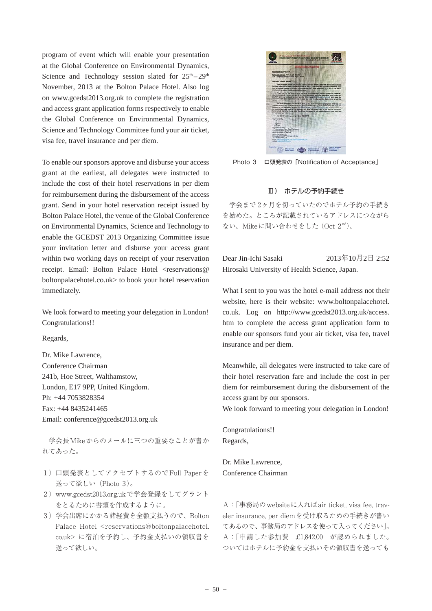program of event which will enable your presentation at the Global Conference on Environmental Dynamics, Science and Technology session slated for  $25<sup>th</sup> - 29<sup>th</sup>$ November, 2013 at the Bolton Palace Hotel. Also log on www.gcedst2013.org.uk to complete the registration and access grant application forms respectively to enable the Global Conference on Environmental Dynamics, Science and Technology Committee fund your air ticket, visa fee, travel insurance and per diem.

To enable our sponsors approve and disburse your access grant at the earliest, all delegates were instructed to include the cost of their hotel reservations in per diem for reimbursement during the disbursement of the access grant. Send in your hotel reservation receipt issued by Bolton Palace Hotel, the venue of the Global Conference on Environmental Dynamics, Science and Technology to enable the GCEDST 2013 Organizing Committee issue your invitation letter and disburse your access grant within two working days on receipt of your reservation receipt. Email: Bolton Palace Hotel <reservations@ boltonpalacehotel.co.uk> to book your hotel reservation immediately.

We look forward to meeting your delegation in London! Congratulations!!

Regards,

Dr. Mike Lawrence, Conference Chairman 241b, Hoe Street, Walthamstow, London, E17 9PP, United Kingdom. Ph: +44 7053828354 Fax: +44 8435241465 Email: conference@gcedst2013.org.uk

学会長Mikeからのメールに三つの重要なことが書か れてあった。

- 1 ) 口頭発表としてアクセプトするのでFull Paperを 送って欲しい(Photo 3)。
- 2 ) www.gcedst2013.org.ukで学会登録をしてグラント をとるために書類を作成するように。
- 3 )学会出席にかかる諸経費を全額支払うので、Bolton Palace Hotel <reservations@boltonpalacehotel. co.uk> に宿泊を予約し、予約金支払いの領収書を 送って欲しい。



Photo 3 口頭発表の「Notification of Acceptance」

## Ⅲ) ホテルの予約手続き

学会まで 2ヶ月を切っていたのでホテル予約の手続き を始めた。ところが記載されているアドレスにつながら ない。Mikeに問い合わせをした (Oct 2<sup>nd</sup>)。

Dear Jin-Ichi Sasaki 2013年10月2日 2:52 Hirosaki University of Health Science, Japan.

What I sent to you was the hotel e-mail address not their website, here is their website: www.boltonpalacehotel. co.uk. Log on http://www.gcedst2013.org.uk/access. htm to complete the access grant application form to enable our sponsors fund your air ticket, visa fee, travel insurance and per diem.

Meanwhile, all delegates were instructed to take care of their hotel reservation fare and include the cost in per diem for reimbursement during the disbursement of the access grant by our sponsors.

We look forward to meeting your delegation in London!

Congratulations!! Regards,

Dr. Mike Lawrence, Conference Chairman

A:「事務局のwebsiteに入ればair ticket, visa fee, traveler insurance, per diemを受け取るための手続きが書い てあるので、事務局のアドレスを使って入ってください」。 A:「申請した参加費 £1,842.00 が認められました。 ついてはホテルに予約金を支払いその領収書を送っても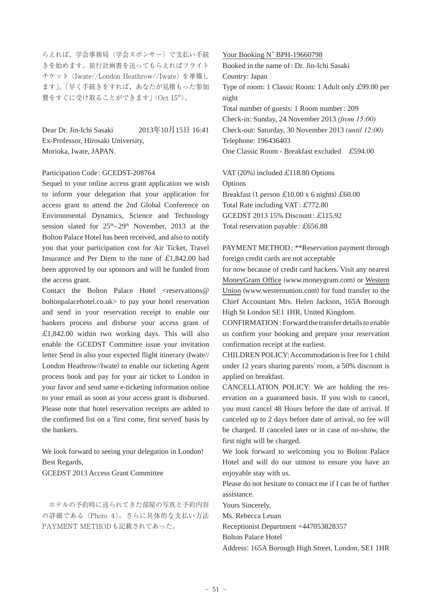らえれば、学会事務局(学会スポンサー)で支払い手続 きを始めます。旅行計画書を送ってもらえればフライト チケット (Iwate//London Heathrow//Iwate) を準備し ます」。「早く手続きをすれば、あなたが見積もった参加 費をすぐに受け取ることができます」(Oct 15th)。

Dear Dr. Jin-Ichi Sasaki 2013年10月15日 16:41 Ex-Professor, Hirosaki University, Morioka, Iwate, JAPAN.

### Participation Code : GCEDST-208764

Sequel to your online access grant application we wish to inform your delegation that your application for access grant to attend the 2nd Global Conference on Environmental Dynamics, Science and Technology session slated for  $25<sup>th</sup> - 29<sup>th</sup>$  November, 2013 at the Bolton Palace Hotel has been received, and also to notify you that your participation cost for Air Ticket, Travel Insurance and Per Diem to the tune of £1,842.00 had been approved by our sponsors and will be funded from the access grant.

Contact the Bolton Palace Hotel <reservations@ boltonpalacehotel.co.uk> to pay your hotel reservation and send in your reservation receipt to enable our bankers process and disburse your access grant of  $£1,842.00$  within two working days. This will also enable the GCEDST Committee issue your invitation letter Send in also your expected flight itinerary (Iwate// London Heathrow//Iwate) to enable our ticketing Agent process book and pay for your air ticket to London in your favor and send same e-ticketing information online to your email as soon as your access grant is disbursed. Please note that hotel reservation receipts are added to the confirmed list on a ʻfirst come, first served' basis by the bankers.

We look forward to seeing your delegation in London! Best Regards,

GCEDST 2013 Access Grant Committee

ホテルの予約時に送られてきた部屋の写真と予約内容 の詳細である(Photo 4)。さらに具体的な支払い方法 PAYMENT METHODも記載されてあった。

Your Booking N° BPH-19660798 Booked in the name of : Dr. Jin-Ichi Sasaki Country: Japan Type of room: 1 Classic Room: 1 Adult only £99.00 per night Total number of guests: 1 Room number : 209 Check-in: Sunday, 24 November 2013 *(from 15:00)* Check-out: Saturday, 30 November 2013 *(until 12:00)*  Telephone: 196436403 One Classic Room - Breakfast excluded £594.00

VAT (20%) included £118.80 Options Options Breakfast (1 person £10.00 x 6 nights) £60.00 Total Rate including VAT : £772.80 GCEDST 2013 15% Discount: £115.92 Total reservation payable : £656.88

PAYMENT METHOD: \*\*Reservation payment through foreign credit cards are not acceptable

for now because of credit card hackers. Visit any nearest MoneyGram Office (www.moneygram.com) or Western Union (www.westernunion.com) for fund transfer to the Chief Accountant Mrs. Helen Jackson, 165A Borough High St London SE1 1HR, United Kingdom.

CONFIRMATION : Forward the transfer details to enable us confirm your booking and prepare your reservation confirmation receipt at the earliest.

CHILDREN POLICY: Accommodation is free for 1 child under 12 years sharing parents' room, a 50% discount is applied on breakfast.

CANCELLATION POLICY: We are holding the reservation on a guaranteed basis. If you wish to cancel, you must cancel 48 Hours before the date of arrival. If canceled up to 2 days before date of arrival, no fee will be charged. If canceled later or in case of no-show, the first night will be charged.

We look forward to welcoming you to Bolton Palace Hotel and will do our utmost to ensure you have an enjoyable stay with us.

Please do not hesitate to contact me if I can be of further assistance.

Yours Sincerely,

Ms. Rebecca Leuan

Receptionist Department +447053828357

Bolton Palace Hotel

Address: 165A Borough High Street, London, SE1 1HR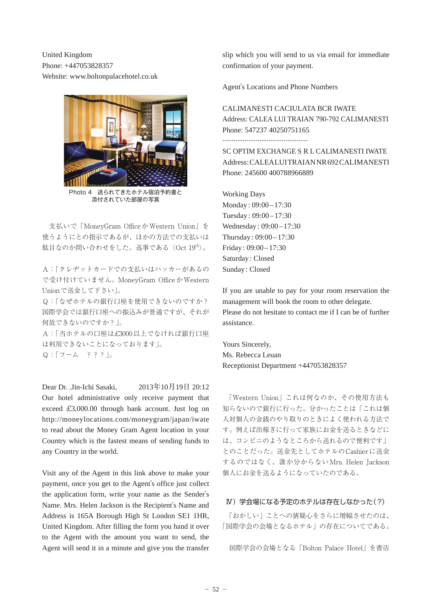United Kingdom Phone: +447053828357 Website: www.boltonpalacehotel.co.uk



Photo 4 送られてきたホテル宿泊予約書と 添付されていた部屋の写真

支払いで「MoneyGram OfficeかWestern Union」を 使うようにとの指示であるが、ほかの方法での支払いは 駄目なのか問い合わせをした。返事である(Oct 19th)。

A:「クレヂットカードでの支払いはハッカーがあるの で受け付けていません。MoneyGram OfficeかWestern Unionで送金して下さい」。

Q:「なぜホテルの銀行口座を使用できないのですか? 国際学会では銀行口座への振込みが普通ですが、それが 何故できないのですか?」。

A:「当ホテルの口座は£3000以上でなければ銀行口座 は利用できないことになっております」。 Q:「フーム ???」。

Dear Dr. .Jin-Ichi Sasaki. 2013年10月19日 20:12 Our hotel administrative only receive payment that exceed £3,000.00 through bank account. Just log on http://moneylocations.com/moneygram/japan/iwate to read about the Money Gram Agent location in your Country which is the fastest means of sending funds to any Country in the world.

Visit any of the Agent in this link above to make your payment, once you get to the Agent's office just collect the application form, write your name as the Sender's Name. Mrs. Helen Jackson is the Recipient's Name and Address is 165A Borough High St London SE1 1HR, United Kingdom. After filling the form you hand it over to the Agent with the amount you want to send, the Agent will send it in a minute and give you the transfer

slip which you will send to us via email for immediate confirmation of your payment.

Agent's Locations and Phone Numbers

CALIMANESTI CACIULATA BCR IWATE Address: CALEA LUI TRAIAN 790-792 CALIMANESTI Phone: 547237 40250751165

..............................................

SC OPTIM EXCHANGE S R L CALIMANESTI IWATE Address: CALEALUI TRAIAN NR 692 CALIMANESTI Phone: 245600 400788966889

Working Days Monday: 09:00 - 17:30 Tuesday : 09:00 – 17:30 Wednesday: 09:00 - 17:30 Thursday : 09:00 – 17:30 Friday : 09:00 – 17:30 Saturday : Closed Sunday : Closed

If you are unable to pay for your room reservation the management will book the room to other delegate. Please do not hesitate to contact me if I can be of further assistance.

Yours Sincerely, Ms. Rebecca Leuan Receptionist Department +447053828357

「Western Union」これは何なのか、その使用方法も 知らないので銀行に行った。分かったことは「これは個 人対個人の金銭のやり取りのときによく使われる方法で す。例えば出稼ぎに行って家族にお金を送るときなどに は、コンビニのようなところから送れるので便利です」 とのことだった。送金先としてホテルのCashierに送金 するのではなく、誰か分からないMrs. Helen Jackson 個人にお金を送るようになっていたのである。

# Ⅳ)学会場になる予定のホテルは存在しなかった(?)

「おかしい」ことへの猜疑心をさらに増幅させたのは、 「国際学会の会場となるホテル」の存在についてである。

国際学会の会場となる「Bolton Palace Hotel」を書店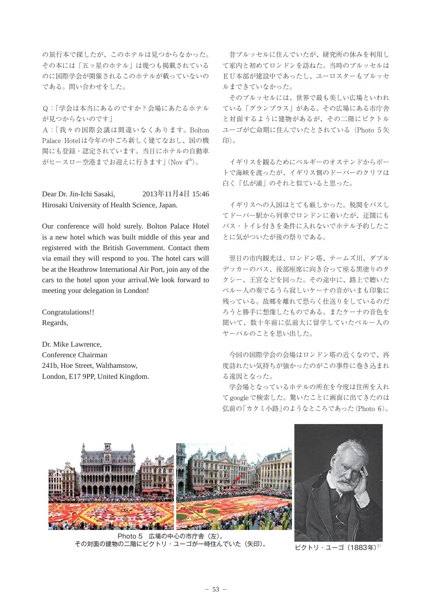の旅行本で探したが、このホテルは見つからなかった。 その本には「五ッ星のホテル」は幾つも掲載されている のに国際学会が開催されるこのホテルが載っていないの である。問い合わせをした。

Q:「学会は本当にあるのですか?会場にあたるホテル が見つからないのです」

A:「我々の国際会議は間違いなくあります。Bolton Palace Hotelは今年の中ごろ新しく建てなおし、国の機 関にも登録・認定されています。当日にホテルの自動車 がヒースロー空港までお迎えに行きます」(Nov 4th)。

Dear Dr. Jin-Ichi Sasaki, 2013年11月4日 15:46 Hirosaki University of Health Science, Japan.

Our conference will hold surely. Bolton Palace Hotel is a new hotel which was built middle of this year and registered with the British Government. Contact them via email they will respond to you. The hotel cars will be at the Heathrow International Air Port, join any of the cars to the hotel upon your arrival.We look forward to meeting your delegation in London!

Congratulations!! Regards,

Dr. Mike Lawrence, Conference Chairman 241b, Hoe Street, Walthamstow, London, E17 9PP, United Kingdom.

昔ブルッセルに住んでいたが、研究所の休みを利用し て家内と初めてロンドンを訪ねた。当時のブルッセルは EU本部が建設中であったし、ユーロスターもブルッセ ルまできていなかった。

そのブルッセルには、世界で最も美しい広場といわれ ている「グランプラス」がある。その広場にある市庁舎 と対面するように建物があるが、その二階にビクトル ユーゴが亡命期に住んでいたとされている(Photo 5 矢 印)。

イギリスを観るためにベルギーのオステンドからボー トで海峡を渡ったが、イギリス側のドーバーのクリフは 白く「仏が浦」のそれと似ていると思った。

イギリスへの入国はとても厳しかった。税関をパスし てドーバー駅から列車でロンドンに着いたが、迂闊にも バス・トイレ付きを条件に入れないでホテル予約したこ とに気がついたが後の祭りである。

翌日の市内観光は、ロンドン塔、テームズ川、ダブル デッカーのバス、後部座席に向き合って座る黒塗りのタ クシー、王宮などを回った。その途中に、路上で聴いた ペルー人の奏でるうら寂しいケーナの音がいまも印象に 残っている。故郷を離れて恐らく仕送りをしているのだ ろうと勝手に想像したものである。またケーナの音色を 聞いて、数十年前に弘前大に留学していたペルー人の ヤーバルのことを思い出した。

今回の国際学会の会場はロンドン塔の近くなので、再 度訪れたい気持ちが強かったのがこの事件に巻き込まれ る遠因となった。

学会場となっているホテルの所在を今度は住所を入れ てgoogleで検索した。驚いたことに画面に出てきたのは 弘前の「カクミ小路」のようなところであった(Photo 6)。



Photo 5 広場の中心の市庁舎(左)。 その対面の建物の二階にビクトリ・ユーゴが一時住んでいた(矢印)。 ビクトリ・ユーゴ (1883年)<sup>2)</sup>

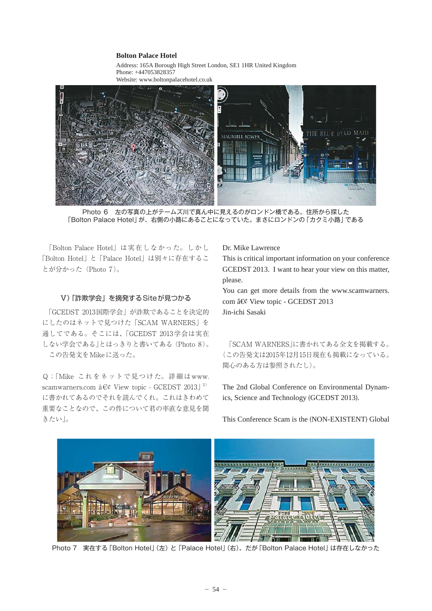## **Bolton Palace Hotel**

Address: 165A Borough High Street London, SE1 1HR United Kingdom Phone: +447053828357 Website: www.boltonpalacehotel.co.uk



Photo 6 左の写真の上がテームズ川で真ん中に見えるのがロンドン橋である。住所から探した 「Bolton Palace Hotel」が、右側の小路にあることになっていた。まさにロンドンの「カクミ小路」である

「Bolton Palace Hotel」は実在しなかった。しかし 「Bolton Hotel」 と 「Palace Hotel」は別々に存在するこ とが分かった(Photo 7)。

## Ⅴ)「詐欺学会」を摘発するSiteが見つかる

「GCEDST 2013国際学会」が詐欺であることを決定的 にしたのはネットで見つけた「SCAM WARNERS」を 通してである。そこには、「GCEDST 2013学会は実在 しない学会である」とはっきりと書いてある (Photo 8)。 この告発文をMikeに送った。

Q;「Mike これをネットで見つけた。詳細はwww. scamwarners.com  $\hat{a} \in \mathcal{C}$  View topic - GCEDST 2013]<sup>3)</sup> に書かれてあるのでそれを読んでくれ。これはきわめて 重要なことなので、この件について君の率直な意見を聞 きたい」。

#### Dr. Mike Lawrence

This is critical important information on your conference GCEDST 2013. I want to hear your view on this matter, please.

You can get more details from the www.scamwarners. com â€¢ View topic - GCEDST 2013 Jin-ichi Sasaki

「SCAM WARNERS」に書かれてある全文を掲載する。 (この告発文は2015年12月15日現在も掲載になっている。 関心のある方は参照されたし)。

The 2nd Global Conference on Environmental Dynamics, Science and Technology (GCEDST 2013).



This Conference Scam is the (NON-EXISTENT) Global

Photo 7 実在する「Bolton Hotel」(左) と 「Palace Hotel」(右)。だが「Bolton Palace Hotel」 は存在しなかった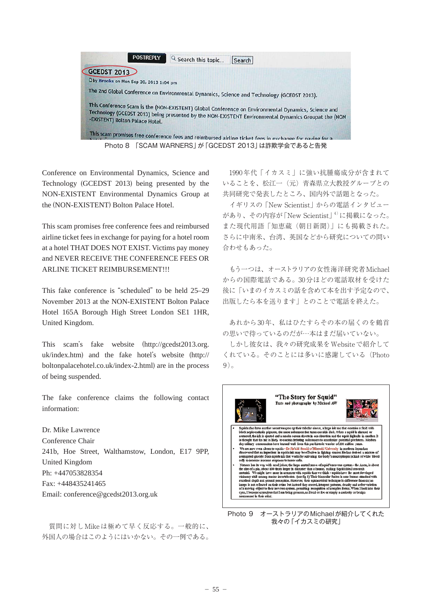

Conference on Environmental Dynamics, Science and Technology (GCEDST 2013) being presented by the NON-EXISTENT Environmental Dynamics Group at the (NON-EXISTENT) Bolton Palace Hotel.

This scam promises free conference fees and reimbursed airline ticket fees in exchange for paying for a hotel room at a hotel THAT DOES NOT EXIST. Victims pay money and NEVER RECEIVE THE CONFERENCE FEES OR ARLINE TICKET REIMBURSEMENT!!!

This fake conference is "scheduled" to be held 25–29 November 2013 at the NON-EXISTENT Bolton Palace Hotel 165A Borough High Street London SE1 1HR, United Kingdom.

This scam's fake website (http://gcedst2013.org. uk/index.htm) and the fake hotel's website (http:// boltonpalacehotel.co.uk/index-2.html) are in the process of being suspended.

The fake conference claims the following contact information:

Dr. Mike Lawrence Conference Chair 241b, Hoe Street, Walthamstow, London, E17 9PP, United Kingdom Ph: +447053828354 Fax: +448435241465 Email: conference@gcedst2013.org.uk

質問に対しMikeは極めて早く反応する。一般的に、 外国人の場合はこのようにはいかない。その一例である。

1990年代「イカスミ」に強い抗腫瘍成分が含まれて いることを、松江一(元)青森県立大教授グループとの 共同研究で発表したところ、国内外で話題となった。

イギリスの「New Scientist」からの電話インタビュー があり、その内容が「New Scientist」4)に掲載になった。 また現代用語「知恵蔵(朝日新聞)」にも掲載された。 さらに中南米、台湾、英国などから研究についての問い 合わせもあった。

もう一つは、オーストラリアの女性海洋研究者Michael からの国際電話である。30分ほどの電話取材を受けた 後に「いまのイカスミの話を含めて本を出す予定なので、 出版したら本を送ります」とのことで電話を終えた。

あれから30年、私はひたすらその本の届くのを鶴首 の思いで待っているのだが…本はまだ届いていない。

しかし彼女は、我々の研究成果をWebsiteで紹介して くれている。そのことには多いに感謝している(Photo  $9)$ 



Photo 9 オーストラリアのMichaelが紹介してくれた 我々の「イカスミの研究」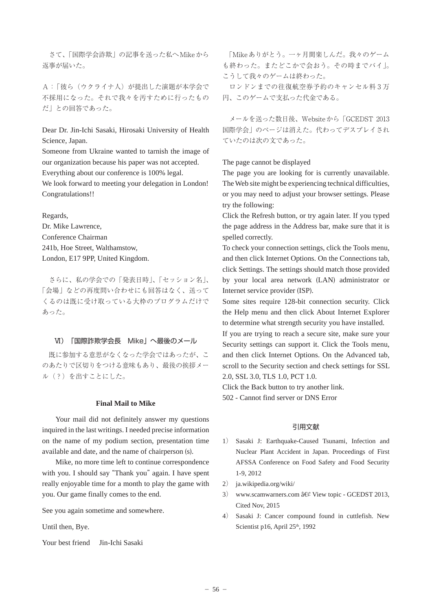さて、「国際学会詐欺」の記事を送った私へMikeから 返事が届いた。

A: 「彼ら(ウクライナ人)が提出した演題が本学会で 不採用になった。それで我々を汚すために行ったもの だ」との回答であった。

Dear Dr. Jin-Ichi Sasaki, Hirosaki University of Health Science, Japan.

Someone from Ukraine wanted to tarnish the image of our organization because his paper was not accepted.

Everything about our conference is 100% legal.

We look forward to meeting your delegation in London! Congratulations!!

Regards,

Dr. Mike Lawrence, Conference Chairman 241b, Hoe Street, Walthamstow, London, E17 9PP, United Kingdom.

さらに、私の学会での「発表日時」、「セッション名」、 「会場」などの再度問い合わせにも回答はなく、送って くるのは既に受け取っている大枠のプログラムだけで あった。

### Ⅵ)「国際詐欺学会長 Mike」へ最後のメール

既に参加する意思がなくなった学会ではあったが、こ のあたりで区切りをつける意味もあり、最後の挨拶メー ル(?)を出すことにした。

### **Final Mail to Mike**

 Your mail did not definitely answer my questions inquired in the last writings. I needed precise information on the name of my podium section, presentation time available and date, and the name of chairperson (s).

 Mike, no more time left to continue correspondence with you. I should say "Thank you" again. I have spent really enjoyable time for a month to play the game with you. Our game finally comes to the end.

See you again sometime and somewhere.

Until then, Bye.

Your best friend Jin-Ichi Sasaki

「Mikeありがとう。一ヶ月間楽しんだ。我々のゲーム も終わった。またどこかで会おう。その時までバイ」。 こうして我々のゲームは終わった。

ロンドンまでの往復航空券予約のキャンセル料 3 万 円、このゲームで支払った代金である。

メールを送った数日後、Websiteから「GCEDST 2013 国際学会」のページは消えた。代わってデスプレイされ ていたのは次の文であった。

The page cannot be displayed

The page you are looking for is currently unavailable. The Web site might be experiencing technical difficulties, or you may need to adjust your browser settings. Please try the following:

Click the Refresh button, or try again later. If you typed the page address in the Address bar, make sure that it is spelled correctly.

To check your connection settings, click the Tools menu, and then click Internet Options. On the Connections tab, click Settings. The settings should match those provided by your local area network (LAN) administrator or Internet service provider (ISP).

Some sites require 128-bit connection security. Click the Help menu and then click About Internet Explorer to determine what strength security you have installed.

If you are trying to reach a secure site, make sure your Security settings can support it. Click the Tools menu, and then click Internet Options. On the Advanced tab, scroll to the Security section and check settings for SSL 2.0, SSL 3.0, TLS 1.0, PCT 1.0.

Click the Back button to try another link.

502 - Cannot find server or DNS Error

## 引用文献

- 1) Sasaki J: Earthquake-Caused Tsunami, Infection and Nuclear Plant Accident in Japan. Proceedings of First AFSSA Conference on Food Safety and Food Security 1-9, 2012
- 2) ja.wikipedia.org/wiki/
- 3) www.scamwarners.com â $\mathcal{C}$  View topic GCEDST 2013, Cited Nov, 2015
- 4) Sasaki J: Cancer compound found in cuttlefish. New Scientist p16, April 25<sup>th</sup>, 1992